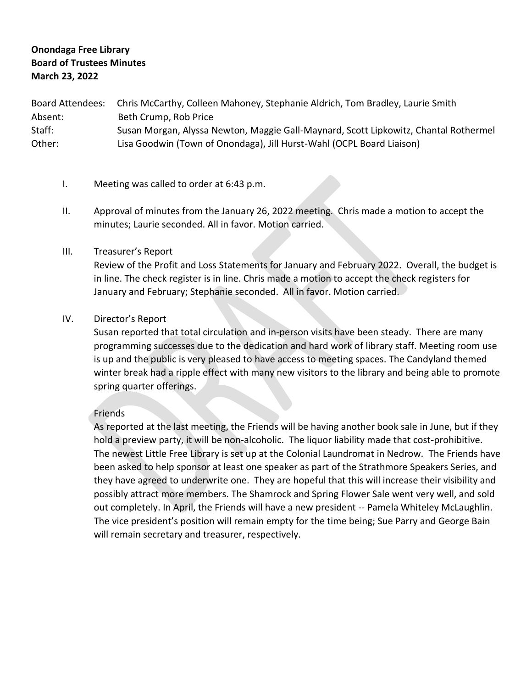# **Onondaga Free Library Board of Trustees Minutes March 23, 2022**

Board Attendees: Chris McCarthy, Colleen Mahoney, Stephanie Aldrich, Tom Bradley, Laurie Smith Absent: Beth Crump, Rob Price Staff: Susan Morgan, Alyssa Newton, Maggie Gall-Maynard, Scott Lipkowitz, Chantal Rothermel Other: Lisa Goodwin (Town of Onondaga), Jill Hurst-Wahl (OCPL Board Liaison)

- I. Meeting was called to order at 6:43 p.m.
- II. Approval of minutes from the January 26, 2022 meeting. Chris made a motion to accept the minutes; Laurie seconded. All in favor. Motion carried.

#### III. Treasurer's Report

Review of the Profit and Loss Statements for January and February 2022. Overall, the budget is in line. The check register is in line. Chris made a motion to accept the check registers for January and February; Stephanie seconded. All in favor. Motion carried.

#### IV. Director's Report

Susan reported that total circulation and in-person visits have been steady. There are many programming successes due to the dedication and hard work of library staff. Meeting room use is up and the public is very pleased to have access to meeting spaces. The Candyland themed winter break had a ripple effect with many new visitors to the library and being able to promote spring quarter offerings.

#### Friends

As reported at the last meeting, the Friends will be having another book sale in June, but if they hold a preview party, it will be non-alcoholic. The liquor liability made that cost-prohibitive. The newest Little Free Library is set up at the Colonial Laundromat in Nedrow. The Friends have been asked to help sponsor at least one speaker as part of the Strathmore Speakers Series, and they have agreed to underwrite one. They are hopeful that this will increase their visibility and possibly attract more members. The Shamrock and Spring Flower Sale went very well, and sold out completely. In April, the Friends will have a new president -- Pamela Whiteley McLaughlin. The vice president's position will remain empty for the time being; Sue Parry and George Bain will remain secretary and treasurer, respectively.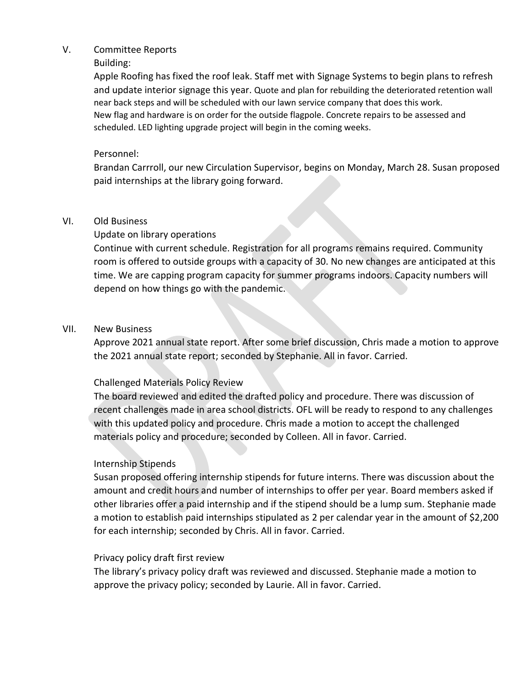#### V. Committee Reports

### Building:

Apple Roofing has fixed the roof leak. Staff met with Signage Systems to begin plans to refresh and update interior signage this year. Quote and plan for rebuilding the deteriorated retention wall near back steps and will be scheduled with our lawn service company that does this work. New flag and hardware is on order for the outside flagpole. Concrete repairs to be assessed and scheduled. LED lighting upgrade project will begin in the coming weeks.

## Personnel:

Brandan Carrroll, our new Circulation Supervisor, begins on Monday, March 28. Susan proposed paid internships at the library going forward.

## VI. Old Business

# Update on library operations

Continue with current schedule. Registration for all programs remains required. Community room is offered to outside groups with a capacity of 30. No new changes are anticipated at this time. We are capping program capacity for summer programs indoors. Capacity numbers will depend on how things go with the pandemic.

## VII. New Business

Approve 2021 annual state report. After some brief discussion, Chris made a motion to approve the 2021 annual state report; seconded by Stephanie. All in favor. Carried.

# Challenged Materials Policy Review

The board reviewed and edited the drafted policy and procedure. There was discussion of recent challenges made in area school districts. OFL will be ready to respond to any challenges with this updated policy and procedure. Chris made a motion to accept the challenged materials policy and procedure; seconded by Colleen. All in favor. Carried.

## Internship Stipends

Susan proposed offering internship stipends for future interns. There was discussion about the amount and credit hours and number of internships to offer per year. Board members asked if other libraries offer a paid internship and if the stipend should be a lump sum. Stephanie made a motion to establish paid internships stipulated as 2 per calendar year in the amount of \$2,200 for each internship; seconded by Chris. All in favor. Carried.

## Privacy policy draft first review

The library's privacy policy draft was reviewed and discussed. Stephanie made a motion to approve the privacy policy; seconded by Laurie. All in favor. Carried.